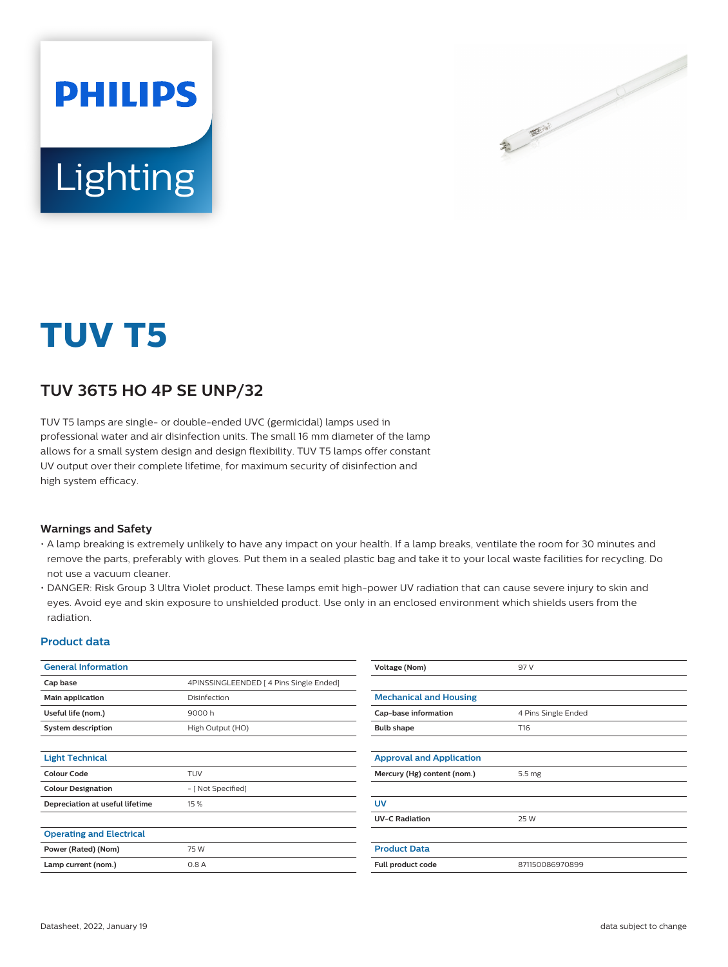

# Lighting

**PHILIPS** 

## **TUV T5**

### **TUV 36T5 HO 4P SE UNP/32**

TUV T5 lamps are single- or double-ended UVC (germicidal) lamps used in professional water and air disinfection units. The small 16 mm diameter of the lamp allows for a small system design and design flexibility. TUV T5 lamps offer constant UV output over their complete lifetime, for maximum security of disinfection and high system efficacy.

#### **Warnings and Safety**

- A lamp breaking is extremely unlikely to have any impact on your health. If a lamp breaks, ventilate the room for 30 minutes and remove the parts, preferably with gloves. Put them in a sealed plastic bag and take it to your local waste facilities for recycling. Do not use a vacuum cleaner.
- DANGER: Risk Group 3 Ultra Violet product. These lamps emit high-power UV radiation that can cause severe injury to skin and eyes. Avoid eye and skin exposure to unshielded product. Use only in an enclosed environment which shields users from the radiation.

#### **Product data**

| <b>General Information</b>      |                                         | Voltage (Nom)                   | 97 V                |
|---------------------------------|-----------------------------------------|---------------------------------|---------------------|
| Cap base                        | 4PINSSINGLEENDED   4 Pins Single Ended] |                                 |                     |
| Main application                | Disinfection                            | <b>Mechanical and Housing</b>   |                     |
| Useful life (nom.)              | 9000 h                                  | Cap-base information            | 4 Pins Single Ended |
| <b>System description</b>       | High Output (HO)                        | <b>Bulb shape</b>               | T16                 |
|                                 |                                         |                                 |                     |
| <b>Light Technical</b>          |                                         | <b>Approval and Application</b> |                     |
| <b>Colour Code</b>              | <b>TUV</b>                              | Mercury (Hg) content (nom.)     | 5.5 mg              |
| <b>Colour Designation</b>       | - [ Not Specified]                      |                                 |                     |
| Depreciation at useful lifetime | 15 %                                    | <b>UV</b>                       |                     |
|                                 |                                         | <b>UV-C Radiation</b>           | 25 W                |
| <b>Operating and Electrical</b> |                                         |                                 |                     |
| Power (Rated) (Nom)             | 75 W                                    | <b>Product Data</b>             |                     |
| Lamp current (nom.)             | 0.8A                                    | Full product code               | 871150086970899     |
|                                 |                                         |                                 |                     |